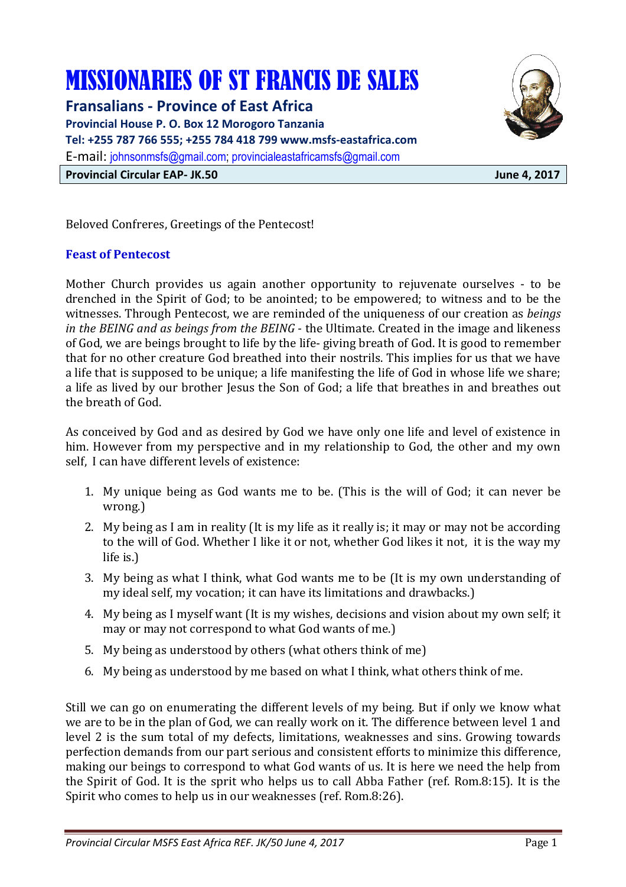# MISSIONARIES OF ST FRANCIS DE SALES

**Fransalians - Province of East Africa Provincial House P. O. Box 12 Morogoro Tanzania Tel: +255 787 766 555; +255 784 418 799 www.msfs-eastafrica.com**  E-mail: johnsonmsfs@gmail.com; provincialeastafricamsfs@gmail.com **Provincial Circular EAP- JK.50 June 4, 2017** 



Beloved Confreres, Greetings of the Pentecost!

#### **Feast of Pentecost**

Mother Church provides us again another opportunity to rejuvenate ourselves - to be drenched in the Spirit of God; to be anointed; to be empowered; to witness and to be the witnesses. Through Pentecost, we are reminded of the uniqueness of our creation as *beings in the BEING and as beings from the BEING* - the Ultimate. Created in the image and likeness of God, we are beings brought to life by the life- giving breath of God. It is good to remember that for no other creature God breathed into their nostrils. This implies for us that we have a life that is supposed to be unique; a life manifesting the life of God in whose life we share; a life as lived by our brother Jesus the Son of God; a life that breathes in and breathes out the breath of God.

As conceived by God and as desired by God we have only one life and level of existence in him. However from my perspective and in my relationship to God, the other and my own self, I can have different levels of existence:

- 1. My unique being as God wants me to be. (This is the will of God; it can never be wrong.)
- 2. My being as I am in reality (It is my life as it really is; it may or may not be according to the will of God. Whether I like it or not, whether God likes it not, it is the way my life is.)
- 3. My being as what I think, what God wants me to be (It is my own understanding of my ideal self, my vocation; it can have its limitations and drawbacks.)
- 4. My being as I myself want (It is my wishes, decisions and vision about my own self; it may or may not correspond to what God wants of me.)
- 5. My being as understood by others (what others think of me)
- 6. My being as understood by me based on what I think, what others think of me.

Still we can go on enumerating the different levels of my being. But if only we know what we are to be in the plan of God, we can really work on it. The difference between level 1 and level 2 is the sum total of my defects, limitations, weaknesses and sins. Growing towards perfection demands from our part serious and consistent efforts to minimize this difference, making our beings to correspond to what God wants of us. It is here we need the help from the Spirit of God. It is the sprit who helps us to call Abba Father (ref. Rom.8:15). It is the Spirit who comes to help us in our weaknesses (ref. Rom.8:26).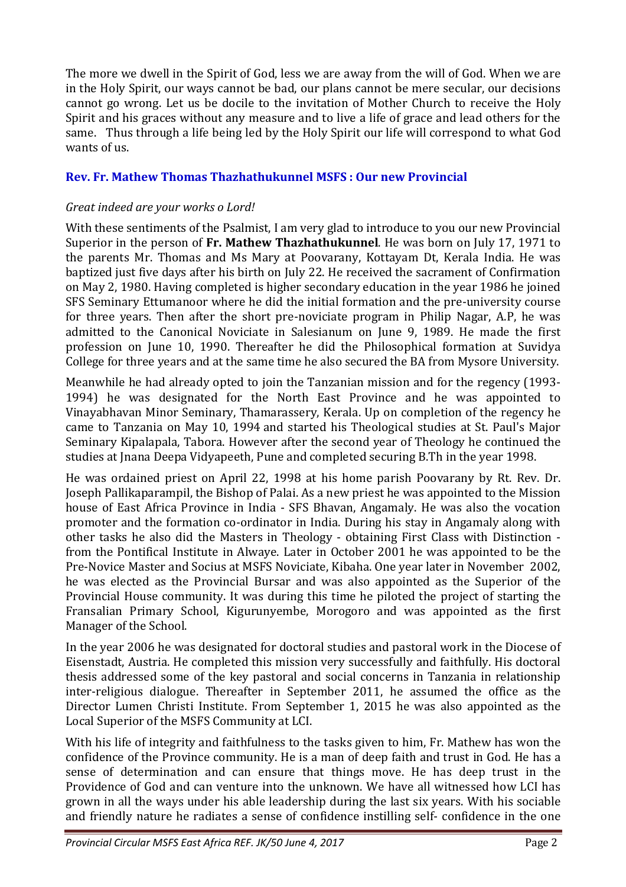The more we dwell in the Spirit of God, less we are away from the will of God. When we are in the Holy Spirit, our ways cannot be bad, our plans cannot be mere secular, our decisions cannot go wrong. Let us be docile to the invitation of Mother Church to receive the Holy Spirit and his graces without any measure and to live a life of grace and lead others for the same. Thus through a life being led by the Holy Spirit our life will correspond to what God wants of us.

# **Rev. Fr. Mathew Thomas Thazhathukunnel MSFS : Our new Provincial**

# *Great indeed are your works o Lord!*

With these sentiments of the Psalmist, I am very glad to introduce to you our new Provincial Superior in the person of **Fr. Mathew Thazhathukunnel**. He was born on July 17, 1971 to the parents Mr. Thomas and Ms Mary at Poovarany, Kottayam Dt, Kerala India. He was baptized just five days after his birth on July 22. He received the sacrament of Confirmation on May 2, 1980. Having completed is higher secondary education in the year 1986 he joined SFS Seminary Ettumanoor where he did the initial formation and the pre-university course for three years. Then after the short pre-noviciate program in Philip Nagar, A.P, he was admitted to the Canonical Noviciate in Salesianum on June 9, 1989. He made the first profession on June 10, 1990. Thereafter he did the Philosophical formation at Suvidya College for three years and at the same time he also secured the BA from Mysore University.

Meanwhile he had already opted to join the Tanzanian mission and for the regency (1993- 1994) he was designated for the North East Province and he was appointed to Vinayabhavan Minor Seminary, Thamarassery, Kerala. Up on completion of the regency he came to Tanzania on May 10, 1994 and started his Theological studies at St. Paul's Major Seminary Kipalapala, Tabora. However after the second year of Theology he continued the studies at Jnana Deepa Vidyapeeth, Pune and completed securing B.Th in the year 1998.

He was ordained priest on April 22, 1998 at his home parish Poovarany by Rt. Rev. Dr. Joseph Pallikaparampil, the Bishop of Palai. As a new priest he was appointed to the Mission house of East Africa Province in India - SFS Bhavan, Angamaly. He was also the vocation promoter and the formation co-ordinator in India. During his stay in Angamaly along with other tasks he also did the Masters in Theology - obtaining First Class with Distinction from the Pontifical Institute in Alwaye. Later in October 2001 he was appointed to be the Pre-Novice Master and Socius at MSFS Noviciate, Kibaha. One year later in November 2002, he was elected as the Provincial Bursar and was also appointed as the Superior of the Provincial House community. It was during this time he piloted the project of starting the Fransalian Primary School, Kigurunyembe, Morogoro and was appointed as the first Manager of the School.

In the year 2006 he was designated for doctoral studies and pastoral work in the Diocese of Eisenstadt, Austria. He completed this mission very successfully and faithfully. His doctoral thesis addressed some of the key pastoral and social concerns in Tanzania in relationship inter-religious dialogue. Thereafter in September 2011, he assumed the office as the Director Lumen Christi Institute. From September 1, 2015 he was also appointed as the Local Superior of the MSFS Community at LCI.

With his life of integrity and faithfulness to the tasks given to him, Fr. Mathew has won the confidence of the Province community. He is a man of deep faith and trust in God. He has a sense of determination and can ensure that things move. He has deep trust in the Providence of God and can venture into the unknown. We have all witnessed how LCI has grown in all the ways under his able leadership during the last six years. With his sociable and friendly nature he radiates a sense of confidence instilling self- confidence in the one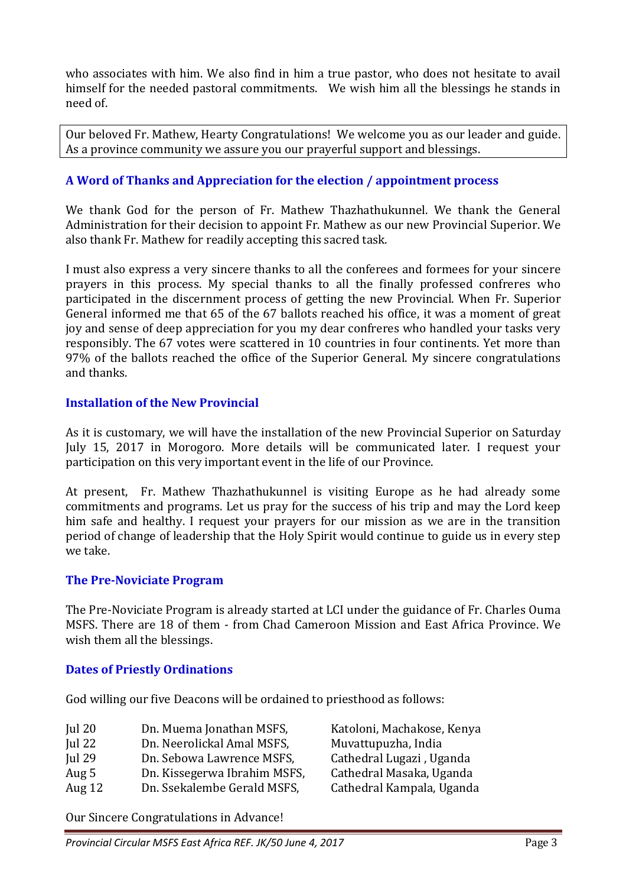who associates with him. We also find in him a true pastor, who does not hesitate to avail himself for the needed pastoral commitments. We wish him all the blessings he stands in need of.

Our beloved Fr. Mathew, Hearty Congratulations! We welcome you as our leader and guide. As a province community we assure you our prayerful support and blessings.

# **A Word of Thanks and Appreciation for the election / appointment process**

We thank God for the person of Fr. Mathew Thazhathukunnel. We thank the General Administration for their decision to appoint Fr. Mathew as our new Provincial Superior. We also thank Fr. Mathew for readily accepting this sacred task.

I must also express a very sincere thanks to all the conferees and formees for your sincere prayers in this process. My special thanks to all the finally professed confreres who participated in the discernment process of getting the new Provincial. When Fr. Superior General informed me that 65 of the 67 ballots reached his office, it was a moment of great joy and sense of deep appreciation for you my dear confreres who handled your tasks very responsibly. The 67 votes were scattered in 10 countries in four continents. Yet more than 97% of the ballots reached the office of the Superior General. My sincere congratulations and thanks.

#### **Installation of the New Provincial**

As it is customary, we will have the installation of the new Provincial Superior on Saturday July 15, 2017 in Morogoro. More details will be communicated later. I request your participation on this very important event in the life of our Province.

At present, Fr. Mathew Thazhathukunnel is visiting Europe as he had already some commitments and programs. Let us pray for the success of his trip and may the Lord keep him safe and healthy. I request your prayers for our mission as we are in the transition period of change of leadership that the Holy Spirit would continue to guide us in every step we take.

#### **The Pre-Noviciate Program**

The Pre-Noviciate Program is already started at LCI under the guidance of Fr. Charles Ouma MSFS. There are 18 of them - from Chad Cameroon Mission and East Africa Province. We wish them all the blessings.

#### **Dates of Priestly Ordinations**

God willing our five Deacons will be ordained to priesthood as follows:

| Jul $20$      | Dn. Muema Jonathan MSFS,     | Katoloni, Machakose, Kenya |
|---------------|------------------------------|----------------------------|
| Jul $22$      | Dn. Neerolickal Amal MSFS,   | Muvattupuzha, India        |
| <b>Iul 29</b> | Dn. Sebowa Lawrence MSFS,    | Cathedral Lugazi, Uganda   |
| Aug 5         | Dn. Kissegerwa Ibrahim MSFS, | Cathedral Masaka, Uganda   |
| Aug $12$      | Dn. Ssekalembe Gerald MSFS,  | Cathedral Kampala, Uganda  |

Our Sincere Congratulations in Advance!

*Provincial Circular MSFS East Africa REF. JK/50 June 4, 2017* Page 3 Page 3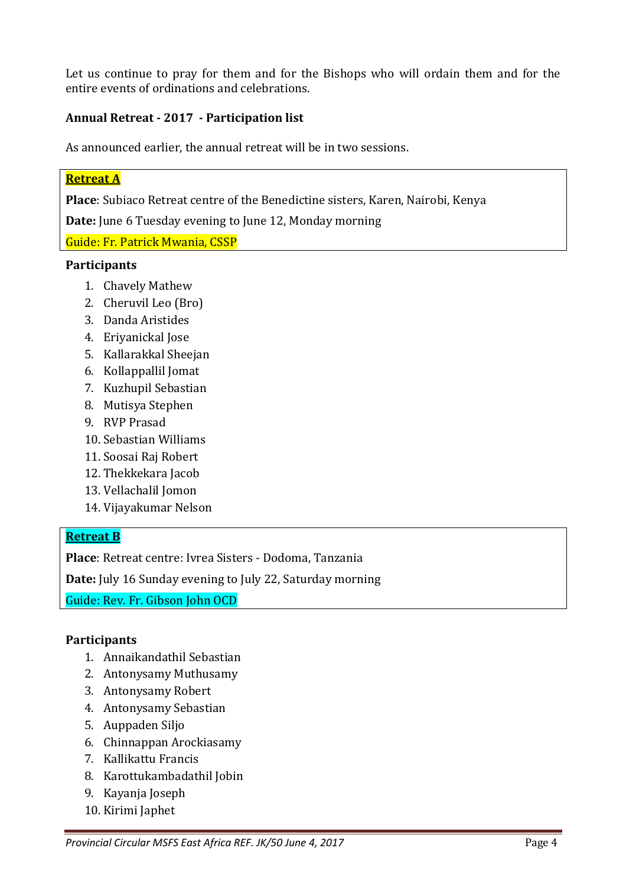Let us continue to pray for them and for the Bishops who will ordain them and for the entire events of ordinations and celebrations.

## **Annual Retreat - 2017 - Participation list**

As announced earlier, the annual retreat will be in two sessions.

# **Retreat A**

**Place**: Subiaco Retreat centre of the Benedictine sisters, Karen, Nairobi, Kenya

**Date:** June 6 Tuesday evening to June 12, Monday morning

Guide: Fr. Patrick Mwania, CSSP

#### **Participants**

- 1. Chavely Mathew
- 2. Cheruvil Leo (Bro)
- 3. Danda Aristides
- 4. Eriyanickal Jose
- 5. Kallarakkal Sheejan
- 6. Kollappallil Jomat
- 7. Kuzhupil Sebastian
- 8. Mutisya Stephen
- 9. RVP Prasad
- 10. Sebastian Williams
- 11. Soosai Raj Robert
- 12. Thekkekara Jacob
- 13. Vellachalil Jomon
- 14. Vijayakumar Nelson

## **Retreat B**

**Place**: Retreat centre: Ivrea Sisters - Dodoma, Tanzania

**Date:** July 16 Sunday evening to July 22, Saturday morning

Guide: Rev. Fr. Gibson John OCD

#### **Participants**

- 1. Annaikandathil Sebastian
- 2. Antonysamy Muthusamy
- 3. Antonysamy Robert
- 4. Antonysamy Sebastian
- 5. Auppaden Siljo
- 6. Chinnappan Arockiasamy
- 7. Kallikattu Francis
- 8. Karottukambadathil Jobin
- 9. Kayanja Joseph
- 10. Kirimi Japhet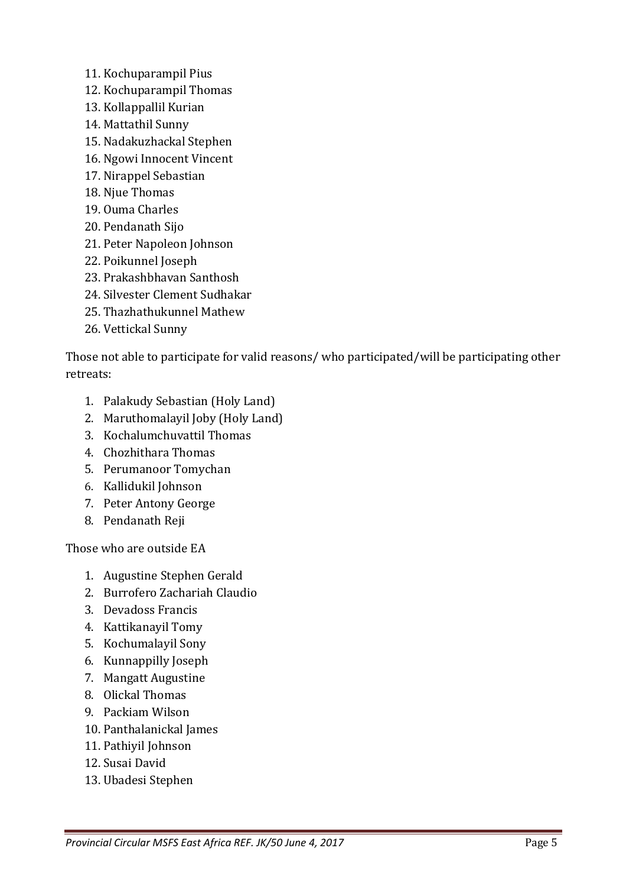- 11. Kochuparampil Pius
- 12. Kochuparampil Thomas
- 13. Kollappallil Kurian
- 14. Mattathil Sunny
- 15. Nadakuzhackal Stephen
- 16. Ngowi Innocent Vincent
- 17. Nirappel Sebastian
- 18. Njue Thomas
- 19. Ouma Charles
- 20. Pendanath Sijo
- 21. Peter Napoleon Johnson
- 22. Poikunnel Joseph
- 23. Prakashbhavan Santhosh
- 24. Silvester Clement Sudhakar
- 25. Thazhathukunnel Mathew
- 26. Vettickal Sunny

Those not able to participate for valid reasons/ who participated/will be participating other retreats:

- 1. Palakudy Sebastian (Holy Land)
- 2. Maruthomalayil Joby (Holy Land)
- 3. Kochalumchuvattil Thomas
- 4. Chozhithara Thomas
- 5. Perumanoor Tomychan
- 6. Kallidukil Johnson
- 7. Peter Antony George
- 8. Pendanath Reji

Those who are outside EA

- 1. Augustine Stephen Gerald
- 2. Burrofero Zachariah Claudio
- 3. Devadoss Francis
- 4. Kattikanayil Tomy
- 5. Kochumalayil Sony
- 6. Kunnappilly Joseph
- 7. Mangatt Augustine
- 8. Olickal Thomas
- 9. Packiam Wilson
- 10. Panthalanickal James
- 11. Pathiyil Johnson
- 12. Susai David
- 13. Ubadesi Stephen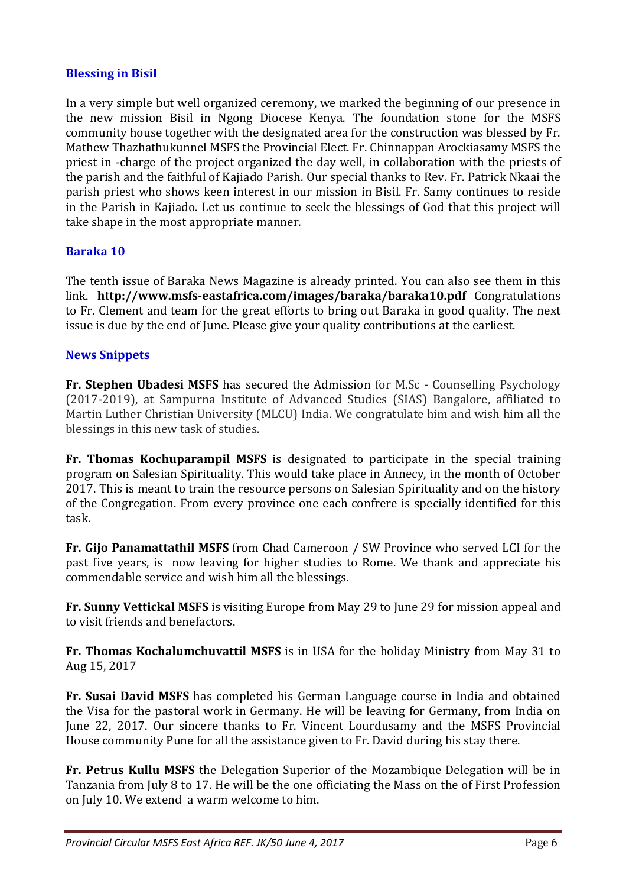#### **Blessing in Bisil**

In a very simple but well organized ceremony, we marked the beginning of our presence in the new mission Bisil in Ngong Diocese Kenya. The foundation stone for the MSFS community house together with the designated area for the construction was blessed by Fr. Mathew Thazhathukunnel MSFS the Provincial Elect. Fr. Chinnappan Arockiasamy MSFS the priest in -charge of the project organized the day well, in collaboration with the priests of the parish and the faithful of Kajiado Parish. Our special thanks to Rev. Fr. Patrick Nkaai the parish priest who shows keen interest in our mission in Bisil. Fr. Samy continues to reside in the Parish in Kajiado. Let us continue to seek the blessings of God that this project will take shape in the most appropriate manner.

## **Baraka 10**

The tenth issue of Baraka News Magazine is already printed. You can also see them in this link. **http://www.msfs-eastafrica.com/images/baraka/baraka10.pdf** Congratulations to Fr. Clement and team for the great efforts to bring out Baraka in good quality. The next issue is due by the end of June. Please give your quality contributions at the earliest.

#### **News Snippets**

**Fr. Stephen Ubadesi MSFS** has secured the Admission for M.Sc - Counselling Psychology (2017-2019), at Sampurna Institute of Advanced Studies (SIAS) Bangalore, affiliated to Martin Luther Christian University (MLCU) India. We congratulate him and wish him all the blessings in this new task of studies.

**Fr. Thomas Kochuparampil MSFS** is designated to participate in the special training program on Salesian Spirituality. This would take place in Annecy, in the month of October 2017. This is meant to train the resource persons on Salesian Spirituality and on the history of the Congregation. From every province one each confrere is specially identified for this task.

**Fr. Gijo Panamattathil MSFS** from Chad Cameroon / SW Province who served LCI for the past five years, is now leaving for higher studies to Rome. We thank and appreciate his commendable service and wish him all the blessings.

**Fr. Sunny Vettickal MSFS** is visiting Europe from May 29 to June 29 for mission appeal and to visit friends and benefactors.

**Fr. Thomas Kochalumchuvattil MSFS** is in USA for the holiday Ministry from May 31 to Aug 15, 2017

**Fr. Susai David MSFS** has completed his German Language course in India and obtained the Visa for the pastoral work in Germany. He will be leaving for Germany, from India on June 22, 2017. Our sincere thanks to Fr. Vincent Lourdusamy and the MSFS Provincial House community Pune for all the assistance given to Fr. David during his stay there.

**Fr. Petrus Kullu MSFS** the Delegation Superior of the Mozambique Delegation will be in Tanzania from July 8 to 17. He will be the one officiating the Mass on the of First Profession on July 10. We extend a warm welcome to him.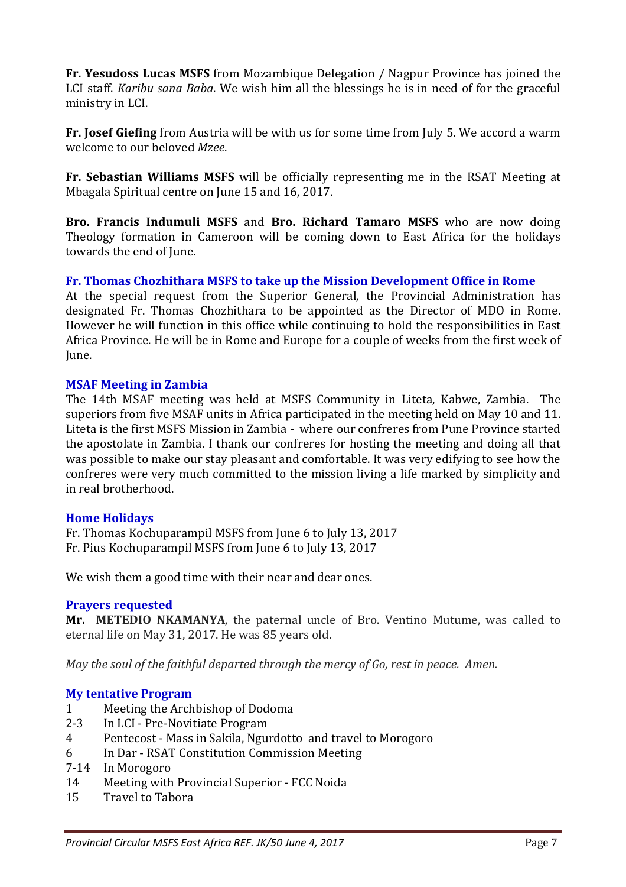**Fr. Yesudoss Lucas MSFS** from Mozambique Delegation / Nagpur Province has joined the LCI staff. *Karibu sana Baba*. We wish him all the blessings he is in need of for the graceful ministry in LCI.

**Fr. Josef Giefing** from Austria will be with us for some time from July 5. We accord a warm welcome to our beloved *Mzee*.

**Fr. Sebastian Williams MSFS** will be officially representing me in the RSAT Meeting at Mbagala Spiritual centre on June 15 and 16, 2017.

**Bro. Francis Indumuli MSFS** and **Bro. Richard Tamaro MSFS** who are now doing Theology formation in Cameroon will be coming down to East Africa for the holidays towards the end of June.

## **Fr. Thomas Chozhithara MSFS to take up the Mission Development Office in Rome**

At the special request from the Superior General, the Provincial Administration has designated Fr. Thomas Chozhithara to be appointed as the Director of MDO in Rome. However he will function in this office while continuing to hold the responsibilities in East Africa Province. He will be in Rome and Europe for a couple of weeks from the first week of June.

#### **MSAF Meeting in Zambia**

The 14th MSAF meeting was held at MSFS Community in Liteta, Kabwe, Zambia. The superiors from five MSAF units in Africa participated in the meeting held on May 10 and 11. Liteta is the first MSFS Mission in Zambia - where our confreres from Pune Province started the apostolate in Zambia. I thank our confreres for hosting the meeting and doing all that was possible to make our stay pleasant and comfortable. It was very edifying to see how the confreres were very much committed to the mission living a life marked by simplicity and in real brotherhood.

#### **Home Holidays**

Fr. Thomas Kochuparampil MSFS from June 6 to July 13, 2017 Fr. Pius Kochuparampil MSFS from June 6 to July 13, 2017

We wish them a good time with their near and dear ones.

#### **Prayers requested**

**Mr. METEDIO NKAMANYA**, the paternal uncle of Bro. Ventino Mutume, was called to eternal life on May 31, 2017. He was 85 years old.

*May the soul of the faithful departed through the mercy of Go, rest in peace. Amen.* 

# **My tentative Program**

- 1 Meeting the Archbishop of Dodoma
- 2-3 In LCI Pre-Novitiate Program
- 4 Pentecost Mass in Sakila, Ngurdotto and travel to Morogoro
- 6 In Dar RSAT Constitution Commission Meeting
- 7-14 In Morogoro
- 14 Meeting with Provincial Superior FCC Noida
- 15 Travel to Tabora